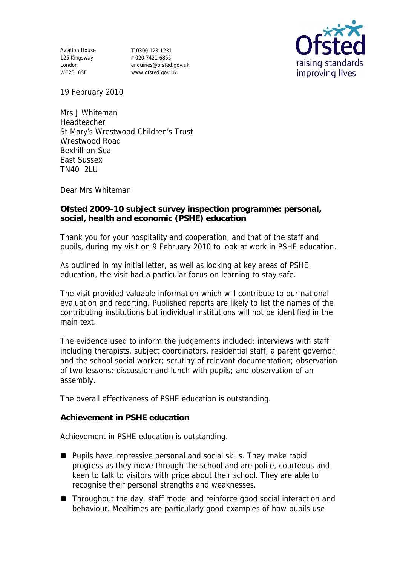Aviation House 125 Kingsway London WC2B 6SE

**T** 0300 123 1231 **F** 020 7421 6855 enquiries@ofsted.gov.uk www.ofsted.gov.uk



19 February 2010

Mrs J Whiteman Headteacher St Mary's Wrestwood Children's Trust Wrestwood Road Bexhill-on-Sea East Sussex TN40 2LU

Dear Mrs Whiteman

**Ofsted 2009-10 subject survey inspection programme: personal, social, health and economic (PSHE) education** 

Thank you for your hospitality and cooperation, and that of the staff and pupils, during my visit on 9 February 2010 to look at work in PSHE education.

As outlined in my initial letter, as well as looking at key areas of PSHE education, the visit had a particular focus on learning to stay safe.

The visit provided valuable information which will contribute to our national evaluation and reporting. Published reports are likely to list the names of the contributing institutions but individual institutions will not be identified in the main text.

The evidence used to inform the judgements included: interviews with staff including therapists, subject coordinators, residential staff, a parent governor, and the school social worker; scrutiny of relevant documentation; observation of two lessons; discussion and lunch with pupils; and observation of an assembly.

The overall effectiveness of PSHE education is outstanding.

**Achievement in PSHE education**

Achievement in PSHE education is outstanding.

- **Pupils have impressive personal and social skills. They make rapid** progress as they move through the school and are polite, courteous and keen to talk to visitors with pride about their school. They are able to recognise their personal strengths and weaknesses.
- Throughout the day, staff model and reinforce good social interaction and behaviour. Mealtimes are particularly good examples of how pupils use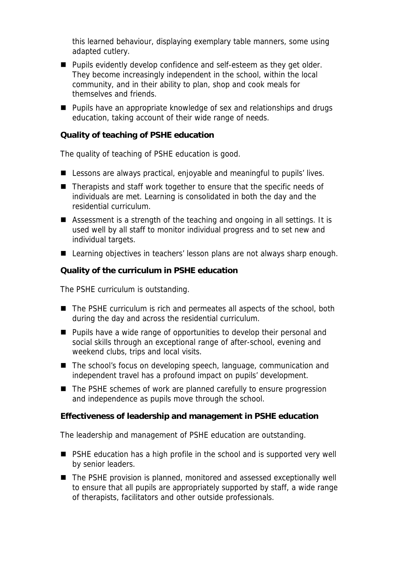this learned behaviour, displaying exemplary table manners, some using adapted cutlery.

- Pupils evidently develop confidence and self-esteem as they get older. They become increasingly independent in the school, within the local community, and in their ability to plan, shop and cook meals for themselves and friends.
- **Pupils have an appropriate knowledge of sex and relationships and drugs** education, taking account of their wide range of needs.

**Quality of teaching of PSHE education**

The quality of teaching of PSHE education is good.

- Lessons are always practical, enjoyable and meaningful to pupils' lives.
- Therapists and staff work together to ensure that the specific needs of individuals are met. Learning is consolidated in both the day and the residential curriculum.
- Assessment is a strength of the teaching and ongoing in all settings. It is used well by all staff to monitor individual progress and to set new and individual targets.
- Learning objectives in teachers' lesson plans are not always sharp enough.

**Quality of the curriculum in PSHE education**

The PSHE curriculum is outstanding.

- The PSHE curriculum is rich and permeates all aspects of the school, both during the day and across the residential curriculum.
- **Pupils have a wide range of opportunities to develop their personal and** social skills through an exceptional range of after-school, evening and weekend clubs, trips and local visits.
- The school's focus on developing speech, language, communication and independent travel has a profound impact on pupils' development.
- The PSHE schemes of work are planned carefully to ensure progression and independence as pupils move through the school.

**Effectiveness of leadership and management in PSHE education**

The leadership and management of PSHE education are outstanding.

- PSHE education has a high profile in the school and is supported very well by senior leaders.
- The PSHE provision is planned, monitored and assessed exceptionally well to ensure that all pupils are appropriately supported by staff, a wide range of therapists, facilitators and other outside professionals.